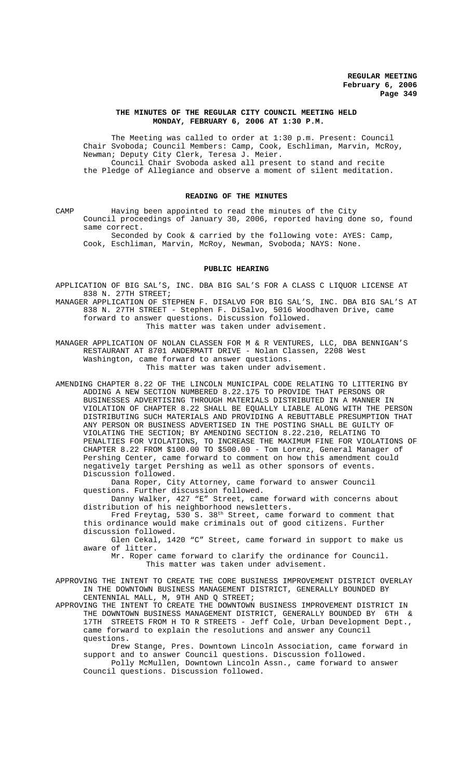## **THE MINUTES OF THE REGULAR CITY COUNCIL MEETING HELD MONDAY, FEBRUARY 6, 2006 AT 1:30 P.M.**

The Meeting was called to order at 1:30 p.m. Present: Council Chair Svoboda; Council Members: Camp, Cook, Eschliman, Marvin, McRoy, Newman; Deputy City Clerk, Teresa J. Meier. Council Chair Svoboda asked all present to stand and recite the Pledge of Allegiance and observe a moment of silent meditation.

# **READING OF THE MINUTES**

CAMP Having been appointed to read the minutes of the City Council proceedings of January 30, 2006, reported having done so, found same correct.

Seconded by Cook & carried by the following vote: AYES: Camp, Cook, Eschliman, Marvin, McRoy, Newman, Svoboda; NAYS: None.

#### **PUBLIC HEARING**

APPLICATION OF BIG SAL'S, INC. DBA BIG SAL'S FOR A CLASS C LIQUOR LICENSE AT 838 N. 27TH STREET;

MANAGER APPLICATION OF STEPHEN F. DISALVO FOR BIG SAL'S, INC. DBA BIG SAL'S AT 838 N. 27TH STREET - Stephen F. DiSalvo, 5016 Woodhaven Drive, came forward to answer questions. Discussion followed. This matter was taken under advisement.

MANAGER APPLICATION OF NOLAN CLASSEN FOR M & R VENTURES, LLC, DBA BENNIGAN'S RESTAURANT AT 8701 ANDERMATT DRIVE - Nolan Classen, 2208 West Washington, came forward to answer questions. This matter was taken under advisement.

AMENDING CHAPTER 8.22 OF THE LINCOLN MUNICIPAL CODE RELATING TO LITTERING BY ADDING A NEW SECTION NUMBERED 8.22.175 TO PROVIDE THAT PERSONS OR BUSINESSES ADVERTISING THROUGH MATERIALS DISTRIBUTED IN A MANNER IN VIOLATION OF CHAPTER 8.22 SHALL BE EQUALLY LIABLE ALONG WITH THE PERSON DISTRIBUTING SUCH MATERIALS AND PROVIDING A REBUTTABLE PRESUMPTION THAT ANY PERSON OR BUSINESS ADVERTISED IN THE POSTING SHALL BE GUILTY OF VIOLATING THE SECTION; BY AMENDING SECTION 8.22.210, RELATING TO PENALTIES FOR VIOLATIONS, TO INCREASE THE MAXIMUM FINE FOR VIOLATIONS OF CHAPTER 8.22 FROM \$100.00 TO \$500.00 - Tom Lorenz, General Manager of Pershing Center, came forward to comment on how this amendment could negatively target Pershing as well as other sponsors of events. Discussion followed.

Dana Roper, City Attorney, came forward to answer Council questions. Further discussion followed.

Danny Walker, 427 "E" Street, came forward with concerns about distribution of his neighborhood newsletters.

Fred Freytag, 530 S. 38th Street, came forward to comment that this ordinance would make criminals out of good citizens. Further discussion followed.

Glen Cekal, 1420 "C" Street, came forward in support to make us aware of litter.

Mr. Roper came forward to clarify the ordinance for Council. This matter was taken under advisement.

APPROVING THE INTENT TO CREATE THE CORE BUSINESS IMPROVEMENT DISTRICT OVERLAY IN THE DOWNTOWN BUSINESS MANAGEMENT DISTRICT, GENERALLY BOUNDED BY CENTENNIAL MALL, M, 9TH AND Q STREET;

APPROVING THE INTENT TO CREATE THE DOWNTOWN BUSINESS IMPROVEMENT DISTRICT IN THE DOWNTOWN BUSINESS MANAGEMENT DISTRICT, GENERALLY BOUNDED BY 6TH  $\&$ THE DOWNTOWN BUSINESS MANAGEMENT DISTRICT, GENERALLY BOUNDED BY 17TH STREETS FROM H TO R STREETS - Jeff Cole, Urban Development Dept., came forward to explain the resolutions and answer any Council questions.

Drew Stange, Pres. Downtown Lincoln Association, came forward in support and to answer Council questions. Discussion followed.

Polly McMullen, Downtown Lincoln Assn., came forward to answer Council questions. Discussion followed.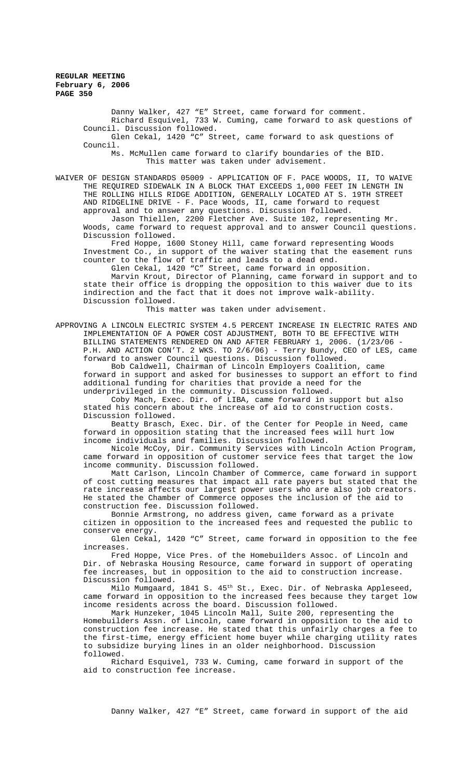Danny Walker, 427 "E" Street, came forward for comment. Richard Esquivel, 733 W. Cuming, came forward to ask questions of Council. Discussion followed.

Glen Cekal, 1420 "C" Street, came forward to ask questions of Council.

Ms. McMullen came forward to clarify boundaries of the BID. This matter was taken under advisement.

WAIVER OF DESIGN STANDARDS 05009 - APPLICATION OF F. PACE WOODS, II, TO WAIVE THE REQUIRED SIDEWALK IN A BLOCK THAT EXCEEDS 1,000 FEET IN LENGTH IN THE ROLLING HILLS RIDGE ADDITION, GENERALLY LOCATED AT S. 19TH STREET AND RIDGELINE DRIVE - F. Pace Woods, II, came forward to request approval and to answer any questions. Discussion followed.

Jason Thiellen, 2200 Fletcher Ave. Suite 102, representing Mr. Woods, came forward to request approval and to answer Council questions. Discussion followed.

Fred Hoppe, 1600 Stoney Hill, came forward representing Woods Investment Co., in support of the waiver stating that the easement runs counter to the flow of traffic and leads to a dead end.

Glen Cekal, 1420 "C" Street, came forward in opposition. Marvin Krout, Director of Planning, came forward in support and to state their office is dropping the opposition to this waiver due to its indirection and the fact that it does not improve walk-ability. Discussion followed.

This matter was taken under advisement.

APPROVING A LINCOLN ELECTRIC SYSTEM 4.5 PERCENT INCREASE IN ELECTRIC RATES AND IMPLEMENTATION OF A POWER COST ADJUSTMENT, BOTH TO BE EFFECTIVE WITH BILLING STATEMENTS RENDERED ON AND AFTER FEBRUARY 1, 2006. (1/23/06 - P.H. AND ACTION CON'T. 2 WKS. TO 2/6/06) - Terry Bundy, CEO of LES, came forward to answer Council questions. Discussion followed.

Bob Caldwell, Chairman of Lincoln Employers Coalition, came forward in support and asked for businesses to support an effort to find

additional funding for charities that provide a need for the underprivileged in the community. Discussion followed.

Coby Mach, Exec. Dir. of LIBA, came forward in support but also stated his concern about the increase of aid to construction costs. Discussion followed.

Beatty Brasch, Exec. Dir. of the Center for People in Need, came forward in opposition stating that the increased fees will hurt low income individuals and families. Discussion followed.

Nicole McCoy, Dir. Community Services with Lincoln Action Program, came forward in opposition of customer service fees that target the low income community. Discussion followed.

Matt Carlson, Lincoln Chamber of Commerce, came forward in support of cost cutting measures that impact all rate payers but stated that the rate increase affects our largest power users who are also job creators. He stated the Chamber of Commerce opposes the inclusion of the aid to construction fee. Discussion followed.

Bonnie Armstrong, no address given, came forward as a private citizen in opposition to the increased fees and requested the public to conserve energy.

Glen Cekal, 1420 "C" Street, came forward in opposition to the fee increases.

Fred Hoppe, Vice Pres. of the Homebuilders Assoc. of Lincoln and Dir. of Nebraska Housing Resource, came forward in support of operating fee increases, but in opposition to the aid to construction increase. Discussion followed.

Milo Mumgaard, 1841 S.  $45^{th}$  St., Exec. Dir. of Nebraska Appleseed, came forward in opposition to the increased fees because they target low income residents across the board. Discussion followed.

Mark Hunzeker, 1045 Lincoln Mall, Suite 200, representing the Homebuilders Assn. of Lincoln, came forward in opposition to the aid to construction fee increase. He stated that this unfairly charges a fee to the first-time, energy efficient home buyer while charging utility rates to subsidize burying lines in an older neighborhood. Discussion followed.

Richard Esquivel, 733 W. Cuming, came forward in support of the aid to construction fee increase.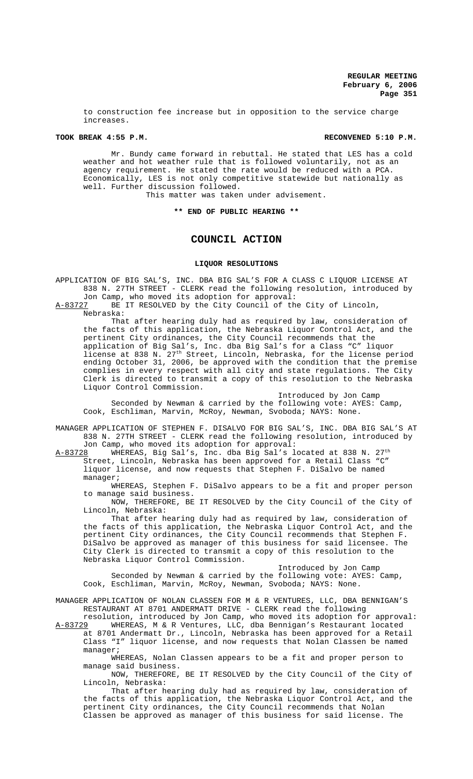to construction fee increase but in opposition to the service charge increases.

# **TOOK BREAK 4:55 P.M. RECONVENED 5:10 P.M.**

Mr. Bundy came forward in rebuttal. He stated that LES has a cold weather and hot weather rule that is followed voluntarily, not as an agency requirement. He stated the rate would be reduced with a PCA. Economically, LES is not only competitive statewide but nationally as well. Further discussion followed.

This matter was taken under advisement.

**\*\* END OF PUBLIC HEARING \*\***

# **COUNCIL ACTION**

## **LIQUOR RESOLUTIONS**

APPLICATION OF BIG SAL'S, INC. DBA BIG SAL'S FOR A CLASS C LIQUOR LICENSE AT 838 N. 27TH STREET - CLERK read the following resolution, introduced by

Jon Camp, who moved its adoption for approval:<br>A-83727 BE IT RESOLVED by the City Council of th BE IT RESOLVED by the City Council of the City of Lincoln, Nebraska:

That after hearing duly had as required by law, consideration of the facts of this application, the Nebraska Liquor Control Act, and the pertinent City ordinances, the City Council recommends that the application of Big Sal's, Inc. dba Big Sal's for a Class "C" liquor license at 838 N. 27<sup>th</sup> Street, Lincoln, Nebraska, for the license period ending October 31, 2006, be approved with the condition that the premise complies in every respect with all city and state regulations. The City Clerk is directed to transmit a copy of this resolution to the Nebraska Liquor Control Commission.

Introduced by Jon Camp Seconded by Newman & carried by the following vote: AYES: Camp, Cook, Eschliman, Marvin, McRoy, Newman, Svoboda; NAYS: None.

MANAGER APPLICATION OF STEPHEN F. DISALVO FOR BIG SAL'S, INC. DBA BIG SAL'S AT 838 N. 27TH STREET - CLERK read the following resolution, introduced by Jon Camp, who moved its adoption for approval:

A-83728 WHEREAS, Big Sal's, Inc. dba Big Sal's located at 838 N. 27<sup>th</sup> Street, Lincoln, Nebraska has been approved for a Retail Class "C" liquor license, and now requests that Stephen F. DiSalvo be named manager;

WHEREAS, Stephen F. DiSalvo appears to be a fit and proper person to manage said business.

NOW, THEREFORE, BE IT RESOLVED by the City Council of the City of Lincoln, Nebraska:

That after hearing duly had as required by law, consideration of the facts of this application, the Nebraska Liquor Control Act, and the pertinent City ordinances, the City Council recommends that Stephen F. DiSalvo be approved as manager of this business for said licensee. The City Clerk is directed to transmit a copy of this resolution to the Nebraska Liquor Control Commission.

Introduced by Jon Camp Seconded by Newman & carried by the following vote: AYES: Camp, Cook, Eschliman, Marvin, McRoy, Newman, Svoboda; NAYS: None.

MANAGER APPLICATION OF NOLAN CLASSEN FOR M & R VENTURES, LLC, DBA BENNIGAN'S RESTAURANT AT 8701 ANDERMATT DRIVE - CLERK read the following

resolution, introduced by Jon Camp, who moved its adoption for approval: A-83729 WHEREAS, M & R Ventures, LLC, dba Bennigan's Restaurant located at 8701 Andermatt Dr., Lincoln, Nebraska has been approved for a Retail Class "I" liquor license, and now requests that Nolan Classen be named manager;

WHEREAS, Nolan Classen appears to be a fit and proper person to manage said business.

NOW, THEREFORE, BE IT RESOLVED by the City Council of the City of Lincoln, Nebraska:

That after hearing duly had as required by law, consideration of the facts of this application, the Nebraska Liquor Control Act, and the pertinent City ordinances, the City Council recommends that Nolan Classen be approved as manager of this business for said license. The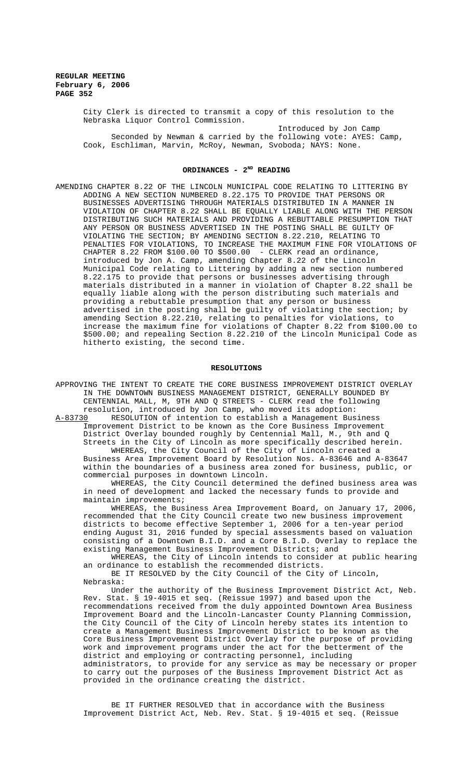City Clerk is directed to transmit a copy of this resolution to the Nebraska Liquor Control Commission.

Introduced by Jon Camp Seconded by Newman & carried by the following vote: AYES: Camp, Cook, Eschliman, Marvin, McRoy, Newman, Svoboda; NAYS: None.

# **ORDINANCES - 2ND READING**

AMENDING CHAPTER 8.22 OF THE LINCOLN MUNICIPAL CODE RELATING TO LITTERING BY ADDING A NEW SECTION NUMBERED 8.22.175 TO PROVIDE THAT PERSONS OR BUSINESSES ADVERTISING THROUGH MATERIALS DISTRIBUTED IN A MANNER IN VIOLATION OF CHAPTER 8.22 SHALL BE EQUALLY LIABLE ALONG WITH THE PERSON DISTRIBUTING SUCH MATERIALS AND PROVIDING A REBUTTABLE PRESUMPTION THAT ANY PERSON OR BUSINESS ADVERTISED IN THE POSTING SHALL BE GUILTY OF VIOLATING THE SECTION; BY AMENDING SECTION 8.22.210, RELATING TO PENALTIES FOR VIOLATIONS, TO INCREASE THE MAXIMUM FINE FOR VIOLATIONS OF CHAPTER 8.22 FROM \$100.00 TO \$500.00 - CLERK read an ordinance, introduced by Jon A. Camp, amending Chapter 8.22 of the Lincoln Municipal Code relating to Littering by adding a new section numbered 8.22.175 to provide that persons or businesses advertising through materials distributed in a manner in violation of Chapter 8.22 shall be equally liable along with the person distributing such materials and providing a rebuttable presumption that any person or business advertised in the posting shall be guilty of violating the section; by amending Section 8.22.210, relating to penalties for violations, to increase the maximum fine for violations of Chapter 8.22 from \$100.00 to \$500.00; and repealing Section 8.22.210 of the Lincoln Municipal Code as hitherto existing, the second time.

#### **RESOLUTIONS**

APPROVING THE INTENT TO CREATE THE CORE BUSINESS IMPROVEMENT DISTRICT OVERLAY IN THE DOWNTOWN BUSINESS MANAGEMENT DISTRICT, GENERALLY BOUNDED BY CENTENNIAL MALL, M, 9TH AND Q STREETS - CLERK read the following resolution, introduced by Jon Camp, who moved its adoption:<br>A-83730 RESOLUTION of intention to establish a Management Bus RESOLUTION of intention to establish a Management Business Improvement District to be known as the Core Business Improvement District Overlay bounded roughly by Centennial Mall, M., 9th and Q Streets in the City of Lincoln as more specifically described herein. WHEREAS, the City Council of the City of Lincoln created a Business Area Improvement Board by Resolution Nos. A-83646 and A-83647 within the boundaries of a business area zoned for business, public, or commercial purposes in downtown Lincoln. WHEREAS, the City Council determined the defined business area was in need of development and lacked the necessary funds to provide and maintain improvements; WHEREAS, the Business Area Improvement Board, on January 17, 2006,

recommended that the City Council create two new business improvement districts to become effective September 1, 2006 for a ten-year period ending August 31, 2016 funded by special assessments based on valuation consisting of a Downtown B.I.D. and a Core B.I.D. Overlay to replace the existing Management Business Improvement Districts; and

WHEREAS, the City of Lincoln intends to consider at public hearing an ordinance to establish the recommended districts.

BE IT RESOLVED by the City Council of the City of Lincoln, Nebraska:

Under the authority of the Business Improvement District Act, Neb. Rev. Stat. § 19-4015 et seq. (Reissue 1997) and based upon the recommendations received from the duly appointed Downtown Area Business Improvement Board and the Lincoln-Lancaster County Planning Commission, the City Council of the City of Lincoln hereby states its intention to create a Management Business Improvement District to be known as the Core Business Improvement District Overlay for the purpose of providing work and improvement programs under the act for the betterment of the district and employing or contracting personnel, including administrators, to provide for any service as may be necessary or proper to carry out the purposes of the Business Improvement District Act as provided in the ordinance creating the district.

BE IT FURTHER RESOLVED that in accordance with the Business Improvement District Act, Neb. Rev. Stat. § 19-4015 et seq. (Reissue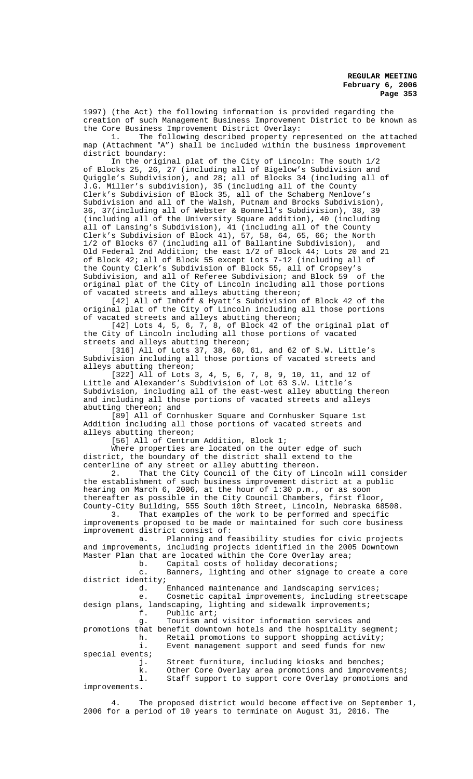1997) (the Act) the following information is provided regarding the creation of such Management Business Improvement District to be known as the Core Business Improvement District Overlay:<br>1. The following described property re

The following described property represented on the attached map (Attachment "A") shall be included within the business improvement district boundary:

In the original plat of the City of Lincoln: The south 1/2 of Blocks 25, 26, 27 (including all of Bigelow's Subdivision and Quiggle's Subdivision), and 28; all of Blocks 34 (including all of J.G. Miller's subdivision), 35 (including all of the County Clerk's Subdivision of Block 35, all of the Schaberg Menlove's Subdivision and all of the Walsh, Putnam and Brocks Subdivision), 36, 37(including all of Webster & Bonnell's Subdivision), 38, 39 (including all of the University Square addition), 40 (including all of Lansing's Subdivision), 41 (including all of the County Clerk's Subdivision of Block 41), 57, 58, 64, 65, 66; the North 1/2 of Blocks 67 (including all of Ballantine Subdivision), and Old Federal 2nd Addition; the east 1/2 of Block 44; Lots 20 and 21 of Block 42; all of Block 55 except Lots 7-12 (including all of the County Clerk's Subdivision of Block 55, all of Cropsey's Subdivision, and all of Referee Subdivision; and Block 59 of the original plat of the City of Lincoln including all those portions of vacated streets and alleys abutting thereon;

[42] All of Imhoff & Hyatt's Subdivision of Block 42 of the original plat of the City of Lincoln including all those portions of vacated streets and alleys abutting thereon;

[42] Lots 4, 5, 6, 7, 8, of Block 42 of the original plat of the City of Lincoln including all those portions of vacated streets and alleys abutting thereon;

[316] All of Lots 37, 38, 60, 61, and 62 of S.W. Little's Subdivision including all those portions of vacated streets and alleys abutting thereon;

[322] All of Lots 3, 4, 5, 6, 7, 8, 9, 10, 11, and 12 of Little and Alexander's Subdivision of Lot 63 S.W. Little's Subdivision, including all of the east-west alley abutting thereon and including all those portions of vacated streets and alleys abutting thereon; and

[89] All of Cornhusker Square and Cornhusker Square 1st Addition including all those portions of vacated streets and alleys abutting thereon;

[56] All of Centrum Addition, Block 1;

Where properties are located on the outer edge of such district, the boundary of the district shall extend to the centerline of any street or alley abutting thereon.

2. That the City Council of the City of Lincoln will consider the establishment of such business improvement district at a public hearing on March 6, 2006, at the hour of 1:30 p.m., or as soon thereafter as possible in the City Council Chambers, first floor,

County-City Building, 555 South 10th Street, Lincoln, Nebraska 68508. That examples of the work to be performed and specific improvements proposed to be made or maintained for such core business improvement district consist of:

a. Planning and feasibility studies for civic projects and improvements, including projects identified in the 2005 Downtown Master Plan that are located within the Core Overlay area;<br>b. Capital costs of holiday decorations;

Capital costs of holiday decorations;

c. Banners, lighting and other signage to create a core district identity;<br>d. I

Enhanced maintenance and landscaping services;

e. Cosmetic capital improvements, including streetscape design plans, landscaping, lighting and sidewalk improvements;<br>f. Public art; Public art;

g. Tourism and visitor information services and promotions that benefit downtown hotels and the hospitality segment;<br>h. Retail promotions to support shopping activity; h. Retail promotions to support shopping activity;<br>i. Event management support and seed funds for new Event management support and seed funds for new special events;<br>j. Street furniture, including kiosks and benches;

k. Other Core Overlay area promotions and improvements; l. Staff support to support core Overlay promotions and improvements.

The proposed district would become effective on September 1, 2006 for a period of 10 years to terminate on August 31, 2016. The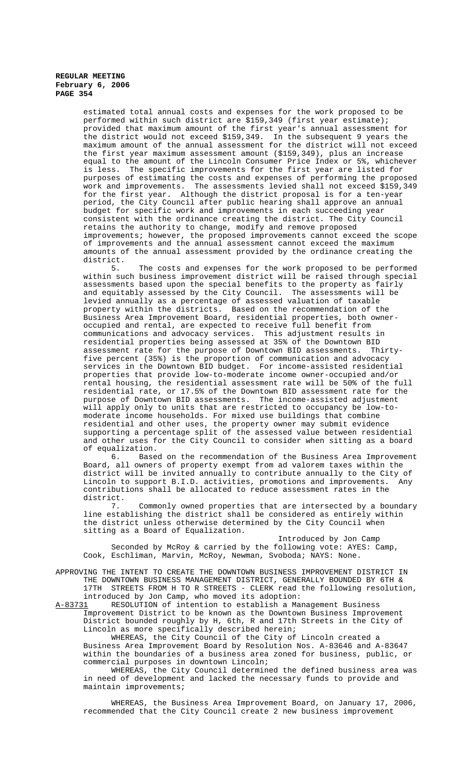estimated total annual costs and expenses for the work proposed to be performed within such district are \$159,349 (first year estimate); provided that maximum amount of the first year's annual assessment for the district would not exceed \$159,349. In the subsequent 9 years the maximum amount of the annual assessment for the district will not exceed the first year maximum assessment amount (\$159,349), plus an increase equal to the amount of the Lincoln Consumer Price Index or 5%, whichever is less. The specific improvements for the first year are listed for purposes of estimating the costs and expenses of performing the proposed work and improvements. The assessments levied shall not exceed \$159,349 for the first year. Although the district proposal is for a ten-year period, the City Council after public hearing shall approve an annual budget for specific work and improvements in each succeeding year consistent with the ordinance creating the district. The City Council retains the authority to change, modify and remove proposed improvements; however, the proposed improvements cannot exceed the scope of improvements and the annual assessment cannot exceed the maximum amounts of the annual assessment provided by the ordinance creating the district.

5. The costs and expenses for the work proposed to be performed within such business improvement district will be raised through special assessments based upon the special benefits to the property as fairly and equitably assessed by the City Council. The assessments will be levied annually as a percentage of assessed valuation of taxable property within the districts. Based on the recommendation of the Business Area Improvement Board, residential properties, both owneroccupied and rental, are expected to receive full benefit from communications and advocacy services. This adjustment results in residential properties being assessed at 35% of the Downtown BID assessment rate for the purpose of Downtown BID assessments. Thirtyfive percent (35%) is the proportion of communication and advocacy services in the Downtown BID budget. For income-assisted residential properties that provide low-to-moderate income owner-occupied and/or rental housing, the residential assessment rate will be 50% of the full residential rate, or 17.5% of the Downtown BID assessment rate for the purpose of Downtown BID assessments. The income-assisted adjustment will apply only to units that are restricted to occupancy be low-tomoderate income households. For mixed use buildings that combine residential and other uses, the property owner may submit evidence supporting a percentage split of the assessed value between residential and other uses for the City Council to consider when sitting as a board of equalization.

6. Based on the recommendation of the Business Area Improvement Board, all owners of property exempt from ad valorem taxes within the district will be invited annually to contribute annually to the City of Lincoln to support B.I.D. activities, promotions and improvements. Any contributions shall be allocated to reduce assessment rates in the district.

7. Commonly owned properties that are intersected by a boundary line establishing the district shall be considered as entirely within the district unless otherwise determined by the City Council when sitting as a Board of Equalization.

Introduced by Jon Camp Seconded by McRoy & carried by the following vote: AYES: Camp, Cook, Eschliman, Marvin, McRoy, Newman, Svoboda; NAYS: None.

APPROVING THE INTENT TO CREATE THE DOWNTOWN BUSINESS IMPROVEMENT DISTRICT IN THE DOWNTOWN BUSINESS MANAGEMENT DISTRICT, GENERALLY BOUNDED BY 6TH & 17TH STREETS FROM H TO R STREETS - CLERK read the following resolution, introduced by Jon Camp, who moved its adoption:

A-83731 RESOLUTION of intention to establish a Management Business Improvement District to be known as the Downtown Business Improvement District bounded roughly by H, 6th, R and 17th Streets in the City of Lincoln as more specifically described herein;

WHEREAS, the City Council of the City of Lincoln created a Business Area Improvement Board by Resolution Nos. A-83646 and A-83647 within the boundaries of a business area zoned for business, public, or commercial purposes in downtown Lincoln;

WHEREAS, the City Council determined the defined business area was in need of development and lacked the necessary funds to provide and maintain improvements;

WHEREAS, the Business Area Improvement Board, on January 17, 2006, recommended that the City Council create 2 new business improvement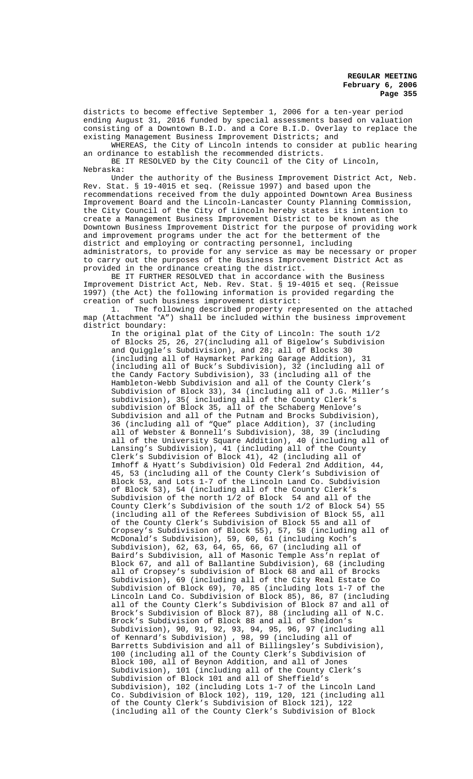districts to become effective September 1, 2006 for a ten-year period ending August 31, 2016 funded by special assessments based on valuation consisting of a Downtown B.I.D. and a Core B.I.D. Overlay to replace the existing Management Business Improvement Districts; and

WHEREAS, the City of Lincoln intends to consider at public hearing an ordinance to establish the recommended districts. BE IT RESOLVED by the City Council of the City of Lincoln,

Nebraska:

Under the authority of the Business Improvement District Act, Neb. Rev. Stat. § 19-4015 et seq. (Reissue 1997) and based upon the recommendations received from the duly appointed Downtown Area Business Improvement Board and the Lincoln-Lancaster County Planning Commission, the City Council of the City of Lincoln hereby states its intention to create a Management Business Improvement District to be known as the Downtown Business Improvement District for the purpose of providing work and improvement programs under the act for the betterment of the district and employing or contracting personnel, including administrators, to provide for any service as may be necessary or proper to carry out the purposes of the Business Improvement District Act as provided in the ordinance creating the district.

BE IT FURTHER RESOLVED that in accordance with the Business Improvement District Act, Neb. Rev. Stat. § 19-4015 et seq. (Reissue 1997) (the Act) the following information is provided regarding the creation of such business improvement district:

1. The following described property represented on the attached map (Attachment "A") shall be included within the business improvement district boundary:

In the original plat of the City of Lincoln: The south 1/2 of Blocks 25, 26, 27(including all of Bigelow's Subdivision and Quiggle's Subdivision), and 28; all of Blocks 30 (including all of Haymarket Parking Garage Addition), 31 (including all of Buck's Subdivision), 32 (including all of the Candy Factory Subdivision), 33 (including all of the Hambleton-Webb Subdivision and all of the County Clerk's Subdivision of Block 33), 34 (including all of J.G. Miller's subdivision), 35( including all of the County Clerk's subdivision of Block 35, all of the Schaberg Menlove's Subdivision and all of the Putnam and Brocks Subdivision), 36 (including all of "Que" place Addition), 37 (including all of Webster & Bonnell's Subdivision), 38, 39 (including all of the University Square Addition), 40 (including all of Lansing's Subdivision), 41 (including all of the County Clerk's Subdivision of Block 41), 42 (including all of Imhoff & Hyatt's Subdivision) Old Federal 2nd Addition, 44, 45, 53 (including all of the County Clerk's Subdivision of Block 53, and Lots 1-7 of the Lincoln Land Co. Subdivision of Block 53), 54 (including all of the County Clerk's Subdivision of the north 1/2 of Block 54 and all of the County Clerk's Subdivision of the south 1/2 of Block 54) 55 (including all of the Referees Subdivision of Block 55, all of the County Clerk's Subdivision of Block 55 and all of Cropsey's Subdivision of Block 55), 57, 58 (including all of McDonald's Subdivision), 59, 60, 61 (including Koch's Subdivision), 62, 63, 64, 65, 66, 67 (including all of Baird's Subdivision, all of Masonic Temple Ass'n replat of Block 67, and all of Ballantine Subdivision), 68 (including all of Cropsey's subdivision of Block 68 and all of Brocks Subdivision), 69 (including all of the City Real Estate Co Subdivision of Block 69), 70, 85 (including lots 1-7 of the Lincoln Land Co. Subdivision of Block 85), 86, 87 (including all of the County Clerk's Subdivision of Block 87 and all of Brock's Subdivision of Block 87), 88 (including all of N.C. Brock's Subdivision of Block 88 and all of Sheldon's Subdivision), 90, 91, 92, 93, 94, 95, 96, 97 (including all of Kennard's Subdivision) , 98, 99 (including all of Barretts Subdivision and all of Billingsley's Subdivision), 100 (including all of the County Clerk's Subdivision of Block 100, all of Beynon Addition, and all of Jones Subdivision), 101 (including all of the County Clerk's Subdivision of Block 101 and all of Sheffield's Subdivision), 102 (including Lots 1-7 of the Lincoln Land Co. Subdivision of Block 102), 119, 120, 121 (including all of the County Clerk's Subdivision of Block 121), 122 (including all of the County Clerk's Subdivision of Block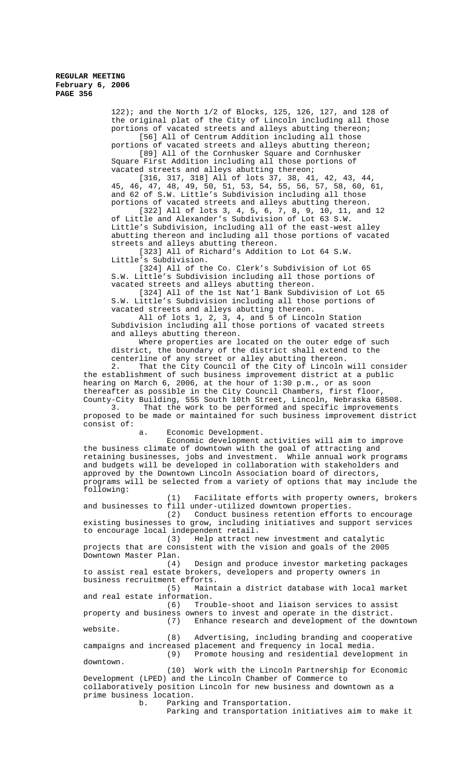122); and the North 1/2 of Blocks, 125, 126, 127, and 128 of the original plat of the City of Lincoln including all those portions of vacated streets and alleys abutting thereon; [56] All of Centrum Addition including all those

portions of vacated streets and alleys abutting thereon; [89] All of the Cornhusker Square and Cornhusker Square First Addition including all those portions of vacated streets and alleys abutting thereon;

[316, 317, 318] All of lots 37, 38, 41, 42, 43, 44, 45, 46, 47, 48, 49, 50, 51, 53, 54, 55, 56, 57, 58, 60, 61, and 62 of S.W. Little's Subdivision including all those portions of vacated streets and alleys abutting thereon. [322] All of lots 3, 4, 5, 6, 7, 8, 9, 10, 11, and 12 of Little and Alexander's Subdivision of Lot 63 S.W. Little's Subdivision, including all of the east-west alley abutting thereon and including all those portions of vacated streets and alleys abutting thereon.

[323] All of Richard's Addition to Lot 64 S.W. Little's Subdivision.

[324] All of the Co. Clerk's Subdivision of Lot 65 S.W. Little's Subdivision including all those portions of vacated streets and alleys abutting thereon.

[324] All of the 1st Nat'l Bank Subdivision of Lot 65 S.W. Little's Subdivision including all those portions of vacated streets and alleys abutting thereon.

All of lots 1, 2, 3, 4, and 5 of Lincoln Station Subdivision including all those portions of vacated streets and alleys abutting thereon.

Where properties are located on the outer edge of such district, the boundary of the district shall extend to the centerline of any street or alley abutting thereon.

2. That the City Council of the City of Lincoln will consider the establishment of such business improvement district at a public hearing on March 6, 2006, at the hour of 1:30 p.m., or as soon thereafter as possible in the City Council Chambers, first floor, County-City Building, 555 South 10th Street, Lincoln, Nebraska 68508.

3. That the work to be performed and specific improvements proposed to be made or maintained for such business improvement district consist of:

a. Economic Development.

Economic development activities will aim to improve the business climate of downtown with the goal of attracting and retaining businesses, jobs and investment. While annual work programs and budgets will be developed in collaboration with stakeholders and approved by the Downtown Lincoln Association board of directors, programs will be selected from a variety of options that may include the following:

(1) Facilitate efforts with property owners, brokers and businesses to fill under-utilized downtown properties.<br>(2) Conduct business retention efforts

Conduct business retention efforts to encourage existing businesses to grow, including initiatives and support services to encourage local independent retail.

(3) Help attract new investment and catalytic projects that are consistent with the vision and goals of the 2005 Downtown Master Plan.<br>(4)

Design and produce investor marketing packages to assist real estate brokers, developers and property owners in business recruitment efforts.

(5) Maintain a district database with local market and real estate information.

(6) Trouble-shoot and liaison services to assist property and business owners to invest and operate in the district. Enhance research and development of the downtown website.

(8) Advertising, including branding and cooperative campaigns and increased placement and frequency in local media. (9) Promote housing and residential development in downtown.

(10) Work with the Lincoln Partnership for Economic Development (LPED) and the Lincoln Chamber of Commerce to collaboratively position Lincoln for new business and downtown as a prime business location.

b. Parking and Transportation.

Parking and transportation initiatives aim to make it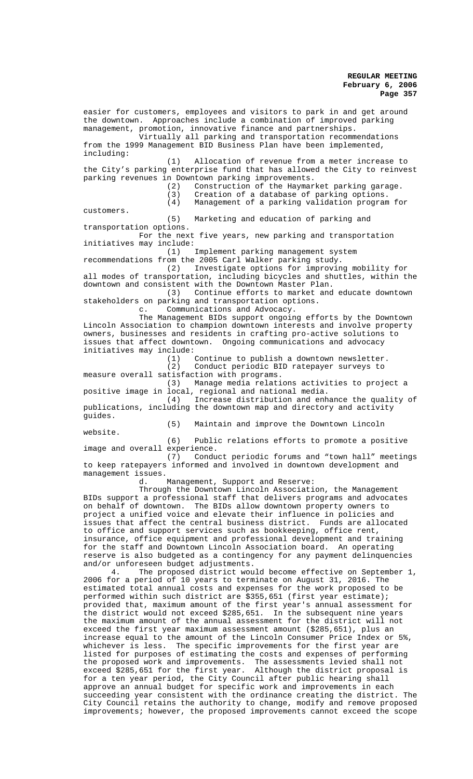easier for customers, employees and visitors to park in and get around the downtown. Approaches include a combination of improved parking management, promotion, innovative finance and partnerships. Virtually all parking and transportation recommendations from the 1999 Management BID Business Plan have been implemented, including: (1) Allocation of revenue from a meter increase to the City's parking enterprise fund that has allowed the City to reinvest parking revenues in Downtown parking improvements.<br>(2) Construction of the Haymar (2) Construction of the Haymarket parking garage.<br>(3) Creation of a database of parking options. (3) Creation of a database of parking options.<br>(4) Management of a parking validation program Management of a parking validation program for customers. (5) Marketing and education of parking and transportation options. For the next five years, new parking and transportation initiatives may include: (1) Implement parking management system recommendations from the 2005 Carl Walker parking study. (2) Investigate options for improving mobility for all modes of transportation, including bicycles and shuttles, within the downtown and consistent with the Downtown Master Plan. (3) Continue efforts to market and educate downtown stakeholders on parking and transportation options. c. Communications and Advocacy. The Management BIDs support ongoing efforts by the Downtown Lincoln Association to champion downtown interests and involve property owners, businesses and residents in crafting pro-active solutions to issues that affect downtown. Ongoing communications and advocacy initiatives may include:<br>(1) (1) Continue to publish a downtown newsletter.<br>(2) Conduct periodic BID ratepayer surveys to Conduct periodic BID ratepayer surveys to measure overall satisfaction with programs. (3) Manage media relations activities to project a positive image in local, regional and national media. (4) Increase distribution and enhance the quality of publications, including the downtown map and directory and activity guides. (5) Maintain and improve the Downtown Lincoln website. (6) Public relations efforts to promote a positive image and overall experience. (7) Conduct periodic forums and "town hall" meetings to keep ratepayers informed and involved in downtown development and management issues. d. Management, Support and Reserve: Through the Downtown Lincoln Association, the Management BIDs support a professional staff that delivers programs and advocates on behalf of downtown. The BIDs allow downtown property owners to project a unified voice and elevate their influence in policies and issues that affect the central business district. Funds are allocated to office and support services such as bookkeeping, office rent, insurance, office equipment and professional development and training for the staff and Downtown Lincoln Association board. An operating reserve is also budgeted as a contingency for any payment delinquencies and/or unforeseen budget adjustments. 4. The proposed district would become effective on September 1, 2006 for a period of 10 years to terminate on August 31, 2016. The estimated total annual costs and expenses for the work proposed to be performed within such district are \$355,651 (first year estimate); provided that, maximum amount of the first year's annual assessment for the district would not exceed \$285,651. In the subsequent nine years the maximum amount of the annual assessment for the district will not exceed the first year maximum assessment amount (\$285,651), plus an increase equal to the amount of the Lincoln Consumer Price Index or 5%, whichever is less. The specific improvements for the first year are listed for purposes of estimating the costs and expenses of performing the proposed work and improvements. The assessments levied shall not exceed \$285,651 for the first year. Although the district proposal is for a ten year period, the City Council after public hearing shall approve an annual budget for specific work and improvements in each succeeding year consistent with the ordinance creating the district. The City Council retains the authority to change, modify and remove proposed improvements; however, the proposed improvements cannot exceed the scope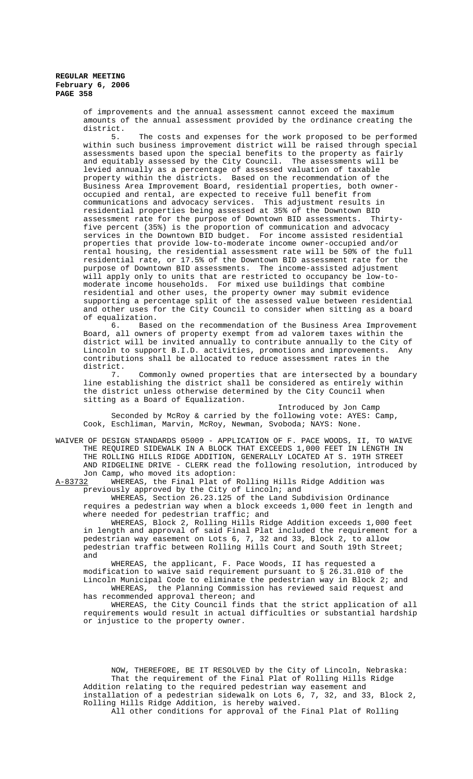> of improvements and the annual assessment cannot exceed the maximum amounts of the annual assessment provided by the ordinance creating the district.<br>5.

The costs and expenses for the work proposed to be performed within such business improvement district will be raised through special assessments based upon the special benefits to the property as fairly and equitably assessed by the City Council. The assessments will be levied annually as a percentage of assessed valuation of taxable property within the districts. Based on the recommendation of the Business Area Improvement Board, residential properties, both owneroccupied and rental, are expected to receive full benefit from communications and advocacy services. This adjustment results in residential properties being assessed at 35% of the Downtown BID assessment rate for the purpose of Downtown BID assessments. Thirtyfive percent (35%) is the proportion of communication and advocacy services in the Downtown BID budget. For income assisted residential properties that provide low-to-moderate income owner-occupied and/or rental housing, the residential assessment rate will be 50% of the full residential rate, or 17.5% of the Downtown BID assessment rate for the purpose of Downtown BID assessments. The income-assisted adjustment will apply only to units that are restricted to occupancy be low-tomoderate income households. For mixed use buildings that combine residential and other uses, the property owner may submit evidence supporting a percentage split of the assessed value between residential and other uses for the City Council to consider when sitting as a board of equalization.

6. Based on the recommendation of the Business Area Improvement Board, all owners of property exempt from ad valorem taxes within the district will be invited annually to contribute annually to the City of Lincoln to support B.I.D. activities, promotions and improvements. Any contributions shall be allocated to reduce assessment rates in the district.

7. Commonly owned properties that are intersected by a boundary line establishing the district shall be considered as entirely within the district unless otherwise determined by the City Council when sitting as a Board of Equalization.

Introduced by Jon Camp Seconded by McRoy & carried by the following vote: AYES: Camp, Cook, Eschliman, Marvin, McRoy, Newman, Svoboda; NAYS: None.

WAIVER OF DESIGN STANDARDS 05009 - APPLICATION OF F. PACE WOODS, II, TO WAIVE THE REQUIRED SIDEWALK IN A BLOCK THAT EXCEEDS 1,000 FEET IN LENGTH IN THE ROLLING HILLS RIDGE ADDITION, GENERALLY LOCATED AT S. 19TH STREET AND RIDGELINE DRIVE - CLERK read the following resolution, introduced by Jon Camp, who moved its adoption:<br>A-83732 WHEREAS, the Final Plat of

WHEREAS, the Final Plat of Rolling Hills Ridge Addition was previously approved by the City of Lincoln; and

WHEREAS, Section 26.23.125 of the Land Subdivision Ordinance requires a pedestrian way when a block exceeds 1,000 feet in length and where needed for pedestrian traffic; and

WHEREAS, Block 2, Rolling Hills Ridge Addition exceeds 1,000 feet in length and approval of said Final Plat included the requirement for a pedestrian way easement on Lots 6, 7, 32 and 33, Block 2, to allow pedestrian traffic between Rolling Hills Court and South 19th Street; and

WHEREAS, the applicant, F. Pace Woods, II has requested a modification to waive said requirement pursuant to § 26.31.010 of the Lincoln Municipal Code to eliminate the pedestrian way in Block 2; and WHEREAS, the Planning Commission has reviewed said request and

has recommended approval thereon; and

WHEREAS, the City Council finds that the strict application of all requirements would result in actual difficulties or substantial hardship or injustice to the property owner.

NOW, THEREFORE, BE IT RESOLVED by the City of Lincoln, Nebraska: That the requirement of the Final Plat of Rolling Hills Ridge Addition relating to the required pedestrian way easement and installation of a pedestrian sidewalk on Lots 6, 7, 32, and 33, Block 2, Rolling Hills Ridge Addition, is hereby waived.

All other conditions for approval of the Final Plat of Rolling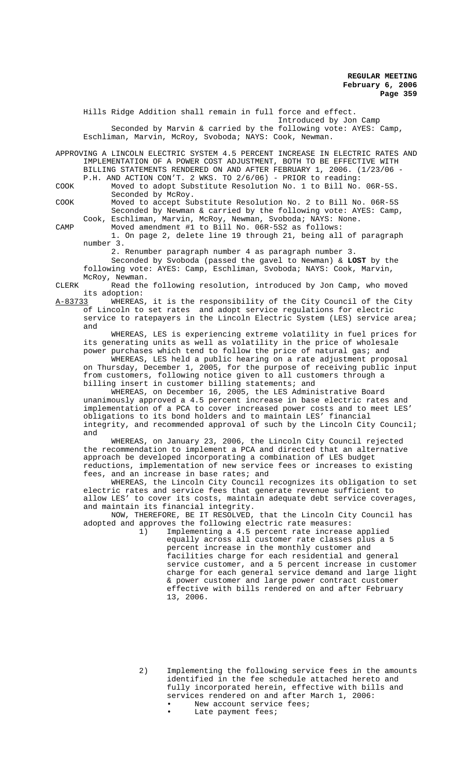Hills Ridge Addition shall remain in full force and effect. Introduced by Jon Camp Seconded by Marvin & carried by the following vote: AYES: Camp, Eschliman, Marvin, McRoy, Svoboda; NAYS: Cook, Newman. APPROVING A LINCOLN ELECTRIC SYSTEM 4.5 PERCENT INCREASE IN ELECTRIC RATES AND IMPLEMENTATION OF A POWER COST ADJUSTMENT, BOTH TO BE EFFECTIVE WITH BILLING STATEMENTS RENDERED ON AND AFTER FEBRUARY 1, 2006. (1/23/06 - P.H. AND ACTION CON'T. 2 WKS. TO 2/6/06) - PRIOR to reading: COOK Moved to adopt Substitute Resolution No. 1 to Bill No. 06R-5S. Seconded by McRoy. COOK Moved to accept Substitute Resolution No. 2 to Bill No. 06R-5S Seconded by Newman & carried by the following vote: AYES: Camp, Cook, Eschliman, Marvin, McRoy, Newman, Svoboda; NAYS: None. CAMP Moved amendment #1 to Bill No. 06R-5S2 as follows: 1. On page 2, delete line 19 through 21, being all of paragraph number 3. 2. Renumber paragraph number 4 as paragraph number 3. Seconded by Svoboda (passed the gavel to Newman) & **LOST** by the following vote: AYES: Camp, Eschliman, Svoboda; NAYS: Cook, Marvin, McRoy, Newman. CLERK Read the following resolution, introduced by Jon Camp, who moved its adoption:<br><u>A-83733</u> WHEREAS A-83733 WHEREAS, it is the responsibility of the City Council of the City of Lincoln to set rates and adopt service regulations for electric service to ratepayers in the Lincoln Electric System (LES) service area; and WHEREAS, LES is experiencing extreme volatility in fuel prices for its generating units as well as volatility in the price of wholesale power purchases which tend to follow the price of natural gas; and WHEREAS, LES held a public hearing on a rate adjustment proposal on Thursday, December 1, 2005, for the purpose of receiving public input from customers, following notice given to all customers through a billing insert in customer billing statements; and WHEREAS, on December 16, 2005, the LES Administrative Board unanimously approved a 4.5 percent increase in base electric rates and implementation of a PCA to cover increased power costs and to meet LES' obligations to its bond holders and to maintain LES' financial integrity, and recommended approval of such by the Lincoln City Council; and WHEREAS, on January 23, 2006, the Lincoln City Council rejected the recommendation to implement a PCA and directed that an alternative approach be developed incorporating a combination of LES budget reductions, implementation of new service fees or increases to existing fees, and an increase in base rates; and WHEREAS, the Lincoln City Council recognizes its obligation to set electric rates and service fees that generate revenue sufficient to allow LES' to cover its costs, maintain adequate debt service coverages, and maintain its financial integrity. NOW, THEREFORE, BE IT RESOLVED, that the Lincoln City Council has adopted and approves the following electric rate measures: 1) Implementing a 4.5 percent rate increase applied equally across all customer rate classes plus a 5 percent increase in the monthly customer and

facilities charge for each residential and general service customer, and a 5 percent increase in customer charge for each general service demand and large light & power customer and large power contract customer effective with bills rendered on and after February 13, 2006.

2) Implementing the following service fees in the amounts identified in the fee schedule attached hereto and fully incorporated herein, effective with bills and services rendered on and after March 1, 2006:

- New account service fees;
- Late payment fees;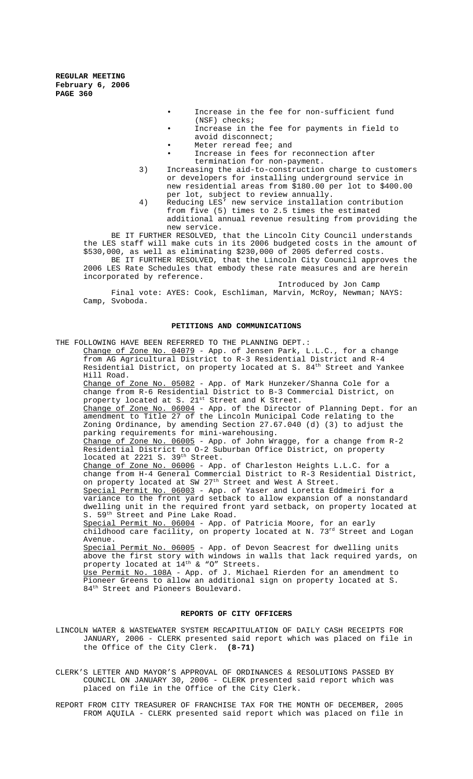- Increase in the fee for non-sufficient fund (NSF) checks;
- Increase in the fee for payments in field to avoid disconnect;
- Meter reread fee; and
- Increase in fees for reconnection after termination for non-payment.
- 3) Increasing the aid-to-construction charge to customers or developers for installing underground service in new residential areas from \$180.00 per lot to \$400.00 per lot, subject to review annually.
- 4) Reducing LES' new service installation contribution from five (5) times to 2.5 times the estimated additional annual revenue resulting from providing the new service.

BE IT FURTHER RESOLVED, that the Lincoln City Council understands the LES staff will make cuts in its 2006 budgeted costs in the amount of \$530,000, as well as eliminating \$230,000 of 2005 deferred costs. BE IT FURTHER RESOLVED, that the Lincoln City Council approves the

2006 LES Rate Schedules that embody these rate measures and are herein incorporated by reference.

Introduced by Jon Camp Final vote: AYES: Cook, Eschliman, Marvin, McRoy, Newman; NAYS: Camp, Svoboda.

## **PETITIONS AND COMMUNICATIONS**

THE FOLLOWING HAVE BEEN REFERRED TO THE PLANNING DEPT.: Change of Zone No. 04079 - App. of Jensen Park, L.L.C., for a change from AG Agricultural District to R-3 Residential District and R-4 Residential District, on property located at S. 84th Street and Yankee Hill Road. Change of Zone No. 05082 - App. of Mark Hunzeker/Shanna Cole for a change from R-6 Residential District to B-3 Commercial District, on property located at S.  $21^{st}$  Street and K Street. Change of Zone No. 06004 - App. of the Director of Planning Dept. for an amendment to Title 27 of the Lincoln Municipal Code relating to the Zoning Ordinance, by amending Section 27.67.040 (d) (3) to adjust the parking requirements for mini-warehousing. -<br>Change of Zone No. 06005 - App. of John Wragge, for a change from R-2 Residential District to O-2 Suburban Office District, on property located at 2221 S.  $39<sup>th</sup>$  Street. Change of Zone No. 06006 - App. of Charleston Heights L.L.C. for a change from H-4 General Commercial District to R-3 Residential District, on property located at SW 27<sup>th</sup> Street and West A Street. Special Permit No. 06003 - App. of Yaser and Loretta Eddmeiri for a variance to the front yard setback to allow expansion of a nonstandard dwelling unit in the required front yard setback, on property located at S. 59<sup>th</sup> Street and Pine Lake Road. Special Permit No. 06004 - App. of Patricia Moore, for an early childhood care facility, on property located at N.  $73^{\mathrm{rd}}$  Street and Logan Avenue. Special Permit No. 06005 - App. of Devon Seacrest for dwelling units above the first story with windows in walls that lack required yards, on property located at  $14^{\text{th}}$  & "O" Streets. Use Permit No. 108A - App. of J. Michael Rierden for an amendment to Pioneer Greens to allow an additional sign on property located at S. 84<sup>th</sup> Street and Pioneers Boulevard.

# **REPORTS OF CITY OFFICERS**

LINCOLN WATER & WASTEWATER SYSTEM RECAPITULATION OF DAILY CASH RECEIPTS FOR JANUARY, 2006 - CLERK presented said report which was placed on file in the Office of the City Clerk. **(8-71)**

CLERK'S LETTER AND MAYOR'S APPROVAL OF ORDINANCES & RESOLUTIONS PASSED BY COUNCIL ON JANUARY 30, 2006 - CLERK presented said report which was placed on file in the Office of the City Clerk.

REPORT FROM CITY TREASURER OF FRANCHISE TAX FOR THE MONTH OF DECEMBER, 2005 FROM AQUILA - CLERK presented said report which was placed on file in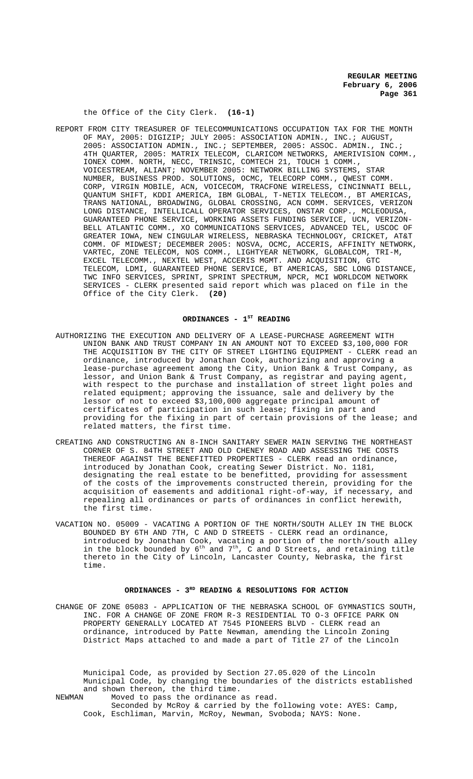# the Office of the City Clerk. **(16-1)**

REPORT FROM CITY TREASURER OF TELECOMMUNICATIONS OCCUPATION TAX FOR THE MONTH OF MAY, 2005: DIGIZIP; JULY 2005: ASSOCIATION ADMIN., INC.; AUGUST, 2005: ASSOCIATION ADMIN., INC.; SEPTEMBER, 2005: ASSOC. ADMIN., INC.; 4TH QUARTER, 2005: MATRIX TELECOM, CLARICOM NETWORKS, AMERIVISION COMM., IONEX COMM. NORTH, NECC, TRINSIC, COMTECH 21, TOUCH 1 COMM., VOICESTREAM, ALIANT; NOVEMBER 2005: NETWORK BILLING SYSTEMS, STAR NUMBER, BUSINESS PROD. SOLUTIONS, OCMC, TELECORP COMM., QWEST COMM. CORP, VIRGIN MOBILE, ACN, VOICECOM, TRACFONE WIRELESS, CINCINNATI BELL, QUANTUM SHIFT, KDDI AMERICA, IBM GLOBAL, T-NETIX TELECOM., BT AMERICAS, TRANS NATIONAL, BROADWING, GLOBAL CROSSING, ACN COMM. SERVICES, VERIZON LONG DISTANCE, INTELLICALL OPERATOR SERVICES, ONSTAR CORP., MCLEODUSA, GUARANTEED PHONE SERVICE, WORKING ASSETS FUNDING SERVICE, UCN, VERIZON-BELL ATLANTIC COMM., XO COMMUNICATIONS SERVICES, ADVANCED TEL, USCOC OF GREATER IOWA, NEW CINGULAR WIRELESS, NEBRASKA TECHNOLOGY, CRICKET, AT&T COMM. OF MIDWEST; DECEMBER 2005: NOSVA, OCMC, ACCERIS, AFFINITY NETWORK, VARTEC, ZONE TELECOM, NOS COMM., LIGHTYEAR NETWORK, GLOBALCOM, TRI-M, EXCEL TELECOMM., NEXTEL WEST, ACCERIS MGMT. AND ACQUISITION, GTC TELECOM, LDMI, GUARANTEED PHONE SERVICE, BT AMERICAS, SBC LONG DISTANCE, TWC INFO SERVICES, SPRINT, SPRINT SPECTRUM, NPCR, MCI WORLDCOM NETWORK SERVICES - CLERK presented said report which was placed on file in the Office of the City Clerk. **(20)**

#### ORDINANCES - 1<sup>st</sup> READING

- AUTHORIZING THE EXECUTION AND DELIVERY OF A LEASE-PURCHASE AGREEMENT WITH UNION BANK AND TRUST COMPANY IN AN AMOUNT NOT TO EXCEED \$3,100,000 FOR THE ACQUISITION BY THE CITY OF STREET LIGHTING EQUIPMENT - CLERK read an ordinance, introduced by Jonathan Cook, authorizing and approving a lease-purchase agreement among the City, Union Bank & Trust Company, as lessor, and Union Bank & Trust Company, as registrar and paying agent, with respect to the purchase and installation of street light poles and related equipment; approving the issuance, sale and delivery by the lessor of not to exceed \$3,100,000 aggregate principal amount of certificates of participation in such lease; fixing in part and providing for the fixing in part of certain provisions of the lease; and related matters, the first time.
- CREATING AND CONSTRUCTING AN 8-INCH SANITARY SEWER MAIN SERVING THE NORTHEAST CORNER OF S. 84TH STREET AND OLD CHENEY ROAD AND ASSESSING THE COSTS THEREOF AGAINST THE BENEFITTED PROPERTIES - CLERK read an ordinance, introduced by Jonathan Cook, creating Sewer District. No. 1181, designating the real estate to be benefitted, providing for assessment of the costs of the improvements constructed therein, providing for the acquisition of easements and additional right-of-way, if necessary, and repealing all ordinances or parts of ordinances in conflict herewith, the first time.
- VACATION NO. 05009 VACATING A PORTION OF THE NORTH/SOUTH ALLEY IN THE BLOCK BOUNDED BY 6TH AND 7TH, C AND D STREETS - CLERK read an ordinance, introduced by Jonathan Cook, vacating a portion of the north/south alley in the block bounded by 6th and 7th, C and D Streets, and retaining title thereto in the City of Lincoln, Lancaster County, Nebraska, the first time.

# ORDINANCES - 3<sup>RD</sup> READING & RESOLUTIONS FOR ACTION

CHANGE OF ZONE 05083 - APPLICATION OF THE NEBRASKA SCHOOL OF GYMNASTICS SOUTH, INC. FOR A CHANGE OF ZONE FROM R-3 RESIDENTIAL TO O-3 OFFICE PARK ON PROPERTY GENERALLY LOCATED AT 7545 PIONEERS BLVD - CLERK read an ordinance, introduced by Patte Newman, amending the Lincoln Zoning District Maps attached to and made a part of Title 27 of the Lincoln

Municipal Code, as provided by Section 27.05.020 of the Lincoln Municipal Code, by changing the boundaries of the districts established and shown thereon, the third time. NEWMAN Moved to pass the ordinance as read.

Seconded by McRoy & carried by the following vote: AYES: Camp, Cook, Eschliman, Marvin, McRoy, Newman, Svoboda; NAYS: None.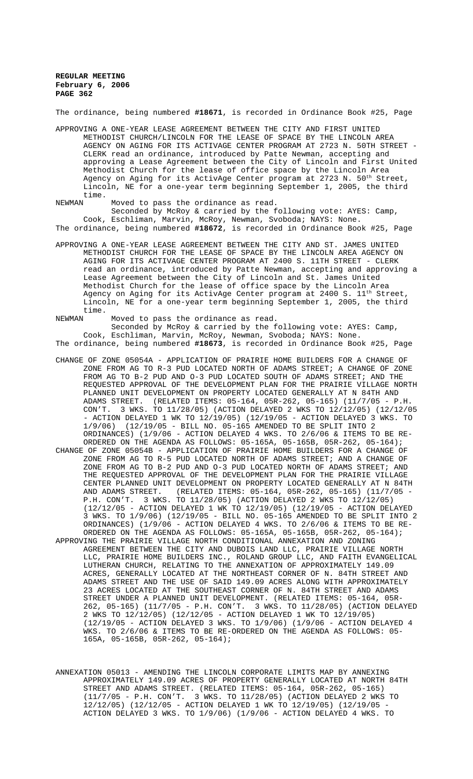The ordinance, being numbered **#18671**, is recorded in Ordinance Book #25, Page

APPROVING A ONE-YEAR LEASE AGREEMENT BETWEEN THE CITY AND FIRST UNITED METHODIST CHURCH/LINCOLN FOR THE LEASE OF SPACE BY THE LINCOLN AREA AGENCY ON AGING FOR ITS ACTIVAGE CENTER PROGRAM AT 2723 N. 50TH STREET - CLERK read an ordinance, introduced by Patte Newman, accepting and approving a Lease Agreement between the City of Lincoln and First United Methodist Church for the lease of office space by the Lincoln Area Agency on Aging for its ActivAge Center program at 2723 N. 50th Street Lincoln, NE for a one-year term beginning September 1, 2005, the third time.<br>NEWMAN

Moved to pass the ordinance as read.

Seconded by McRoy & carried by the following vote: AYES: Camp, Cook, Eschliman, Marvin, McRoy, Newman, Svoboda; NAYS: None. The ordinance, being numbered **#18672**, is recorded in Ordinance Book #25, Page

APPROVING A ONE-YEAR LEASE AGREEMENT BETWEEN THE CITY AND ST. JAMES UNITED METHODIST CHURCH FOR THE LEASE OF SPACE BY THE LINCOLN AREA AGENCY ON AGING FOR ITS ACTIVAGE CENTER PROGRAM AT 2400 S. 11TH STREET - CLERK read an ordinance, introduced by Patte Newman, accepting and approving a Lease Agreement between the City of Lincoln and St. James United Methodist Church for the lease of office space by the Lincoln Area Agency on Aging for its ActivAge Center program at 2400 S. 11<sup>th</sup> Street, Lincoln, NE for a one-year term beginning September 1, 2005, the third time.<br>NEWMAN

Moved to pass the ordinance as read. Seconded by McRoy & carried by the following vote: AYES: Camp, Cook, Eschliman, Marvin, McRoy, Newman, Svoboda; NAYS: None. The ordinance, being numbered **#18673**, is recorded in Ordinance Book #25, Page

- CHANGE OF ZONE 05054A APPLICATION OF PRAIRIE HOME BUILDERS FOR A CHANGE OF ZONE FROM AG TO R-3 PUD LOCATED NORTH OF ADAMS STREET; A CHANGE OF ZONE FROM AG TO B-2 PUD AND O-3 PUD LOCATED SOUTH OF ADAMS STREET; AND THE REQUESTED APPROVAL OF THE DEVELOPMENT PLAN FOR THE PRAIRIE VILLAGE NORTH PLANNED UNIT DEVELOPMENT ON PROPERTY LOCATED GENERALLY AT N 84TH AND ADAMS STREET. (RELATED ITEMS: 05-164, 05R-262, 05-165) (11/7/05 - P.H. CON'T. 3 WKS. TO 11/28/05) (ACTION DELAYED 2 WKS TO 12/12/05) (12/12/05 - ACTION DELAYED 1 WK TO  $12/19/05$ ) ( $12/19/05$  - ACTION DELAYED 3 WKS. TO  $1/9/06$ ) ( $12/19/05$  - BILL NO. 05-165 AMENDED TO BE SPLIT INTO 2 (12/19/05 - BILL NO. 05-165 AMENDED TO BE SPLIT INTO 2 ORDINANCES) (1/9/06 - ACTION DELAYED 4 WKS. TO 2/6/06 & ITEMS TO BE RE-ORDERED ON THE AGENDA AS FOLLOWS: 05-165A, 05-165B, 05R-262, 05-164);
- CHANGE OF ZONE 05054B APPLICATION OF PRAIRIE HOME BUILDERS FOR A CHANGE OF ZONE FROM AG TO R-5 PUD LOCATED NORTH OF ADAMS STREET; AND A CHANGE OF ZONE FROM AG TO B-2 PUD AND O-3 PUD LOCATED NORTH OF ADAMS STREET; AND THE REQUESTED APPROVAL OF THE DEVELOPMENT PLAN FOR THE PRAIRIE VILLAGE CENTER PLANNED UNIT DEVELOPMENT ON PROPERTY LOCATED GENERALLY AT N 84TH<br>AND ADAMS STREET. (RELATED ITEMS: 05-164, 05R-262, 05-165) (11/7/05 -(RELATED ITEMS: 05-164, 05R-262, 05-165) (11/7/05 -P.H. CON'T. 3 WKS. TO 11/28/05) (ACTION DELAYED 2 WKS TO 12/12/05) (12/12/05 - ACTION DELAYED 1 WK TO 12/19/05) (12/19/05 - ACTION DELAYED 3 WKS. TO 1/9/06) (12/19/05 - BILL NO. 05-165 AMENDED TO BE SPLIT INTO 2 ORDINANCES) (1/9/06 - ACTION DELAYED 4 WKS. TO 2/6/06 & ITEMS TO BE RE-ORDERED ON THE AGENDA AS FOLLOWS: 05-165A, 05-165B, 05R-262, 05-164);
- APPROVING THE PRAIRIE VILLAGE NORTH CONDITIONAL ANNEXATION AND ZONING AGREEMENT BETWEEN THE CITY AND DUBOIS LAND LLC, PRAIRIE VILLAGE NORTH LLC, PRAIRIE HOME BUILDERS INC., ROLAND GROUP LLC, AND FAITH EVANGELICAL LUTHERAN CHURCH, RELATING TO THE ANNEXATION OF APPROXIMATELY 149.09 ACRES, GENERALLY LOCATED AT THE NORTHEAST CORNER OF N. 84TH STREET AND ADAMS STREET AND THE USE OF SAID 149.09 ACRES ALONG WITH APPROXIMATELY 23 ACRES LOCATED AT THE SOUTHEAST CORNER OF N. 84TH STREET AND ADAMS STREET UNDER A PLANNED UNIT DEVELOPMENT. (RELATED ITEMS: 05-164, 05R-262, 05-165) (11/7/05 - P.H. CON'T. 3 WKS. TO 11/28/05) (ACTION DELAYED 2 WKS TO 12/12/05) (12/12/05 - ACTION DELAYED 1 WK TO 12/19/05) (12/19/05 - ACTION DELAYED 3 WKS. TO 1/9/06) (1/9/06 - ACTION DELAYED 4 WKS. TO 2/6/06 & ITEMS TO BE RE-ORDERED ON THE AGENDA AS FOLLOWS: 05- 165A, 05-165B, 05R-262, 05-164);
- ANNEXATION 05013 AMENDING THE LINCOLN CORPORATE LIMITS MAP BY ANNEXING APPROXIMATELY 149.09 ACRES OF PROPERTY GENERALLY LOCATED AT NORTH 84TH STREET AND ADAMS STREET. (RELATED ITEMS: 05-164, 05R-262, 05-165) (11/7/05 - P.H. CON'T. 3 WKS. TO 11/28/05) (ACTION DELAYED 2 WKS TO 12/12/05) (12/12/05 - ACTION DELAYED 1 WK TO 12/19/05) (12/19/05 - ACTION DELAYED 3 WKS. TO 1/9/06) (1/9/06 - ACTION DELAYED 4 WKS. TO